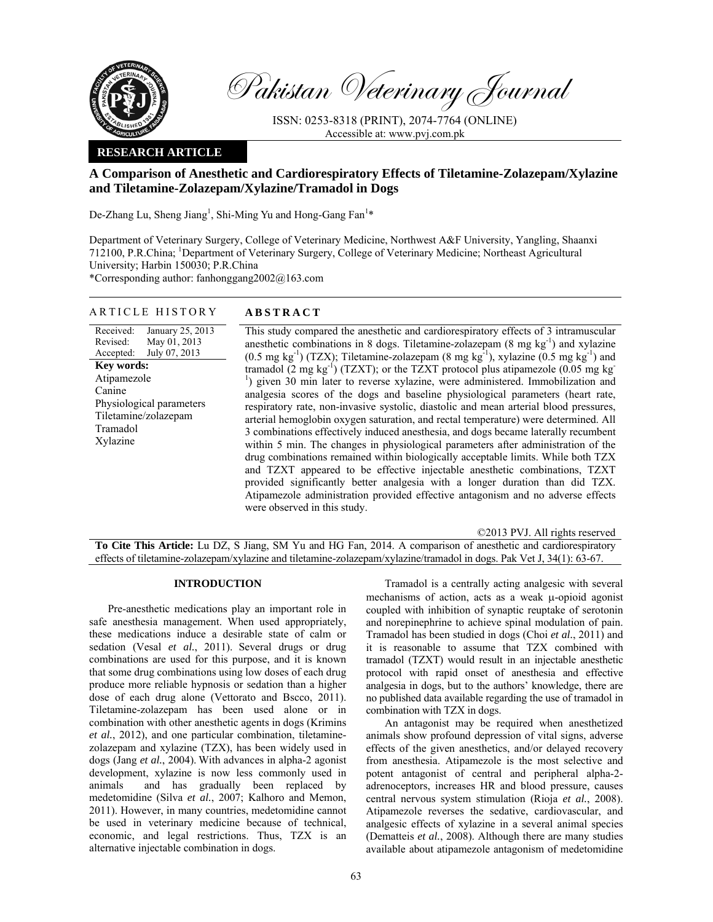

Pakistan Veterinary Journal

ISSN: 0253-8318 (PRINT), 2074-7764 (ONLINE) Accessible at: www.pvj.com.pk

## **RESEARCH ARTICLE**

# **A Comparison of Anesthetic and Cardiorespiratory Effects of Tiletamine-Zolazepam/Xylazine and Tiletamine-Zolazepam/Xylazine/Tramadol in Dogs**

De-Zhang Lu, Sheng Jiang<sup>1</sup>, Shi-Ming Yu and Hong-Gang Fan<sup>1\*</sup>

Department of Veterinary Surgery, College of Veterinary Medicine, Northwest A&F University, Yangling, Shaanxi 712100, P.R.China; 1 Department of Veterinary Surgery, College of Veterinary Medicine; Northeast Agricultural University; Harbin 150030; P.R.China

\*Corresponding author: fanhonggang2002@163.com

#### ARTICLE HISTORY **ABSTRACT**

Received: Revised: Accepted: January 25, 2013 May 01, 2013 July 07, 2013 **Key words:**  Atipamezole Canine Physiological parameters Tiletamine/zolazepam Tramadol Xylazine

 This study compared the anesthetic and cardiorespiratory effects of 3 intramuscular anesthetic combinations in 8 dogs. Tiletamine-zolazepam  $(8 \text{ mg kg}^{-1})$  and xylazine  $(0.5 \text{ mg kg}^{-1})$  (TZX); Tiletamine-zolazepam  $(8 \text{ mg kg}^{-1})$ , xylazine  $(0.5 \text{ mg kg}^{-1})$  and tramadol (2 mg kg<sup>-1</sup>) (TZXT); or the TZXT protocol plus atipamezole (0.05 mg kg<sup>-1</sup>) <sup>1</sup>) given 30 min later to reverse xylazine, were administered. Immobilization and analgesia scores of the dogs and baseline physiological parameters (heart rate, respiratory rate, non-invasive systolic, diastolic and mean arterial blood pressures, arterial hemoglobin oxygen saturation, and rectal temperature) were determined. All 3 combinations effectively induced anesthesia, and dogs became laterally recumbent within 5 min. The changes in physiological parameters after administration of the drug combinations remained within biologically acceptable limits. While both TZX and TZXT appeared to be effective injectable anesthetic combinations, TZXT provided significantly better analgesia with a longer duration than did TZX. Atipamezole administration provided effective antagonism and no adverse effects were observed in this study.

©2013 PVJ. All rights reserved

**To Cite This Article:** Lu DZ, S Jiang, SM Yu and HG Fan, 2014. A comparison of anesthetic and cardiorespiratory effects of tiletamine-zolazepam/xylazine and tiletamine-zolazepam/xylazine/tramadol in dogs. Pak Vet J, 34(1): 63-67.

#### **INTRODUCTION**

Pre-anesthetic medications play an important role in safe anesthesia management. When used appropriately, these medications induce a desirable state of calm or sedation (Vesal *et al.*, 2011). Several drugs or drug combinations are used for this purpose, and it is known that some drug combinations using low doses of each drug produce more reliable hypnosis or sedation than a higher dose of each drug alone (Vettorato and Bscco, 2011). Tiletamine-zolazepam has been used alone or in combination with other anesthetic agents in dogs (Krimins *et al.*, 2012), and one particular combination, tiletaminezolazepam and xylazine (TZX), has been widely used in dogs (Jang *et al.*, 2004). With advances in alpha-2 agonist development, xylazine is now less commonly used in animals and has gradually been replaced by medetomidine (Silva *et al.*, 2007; Kalhoro and Memon, 2011). However, in many countries, medetomidine cannot be used in veterinary medicine because of technical, economic, and legal restrictions. Thus, TZX is an alternative injectable combination in dogs.

Tramadol is a centrally acting analgesic with several mechanisms of action, acts as a weak µ-opioid agonist coupled with inhibition of synaptic reuptake of serotonin and norepinephrine to achieve spinal modulation of pain. Tramadol has been studied in dogs (Choi *et al.*, 2011) and it is reasonable to assume that TZX combined with tramadol (TZXT) would result in an injectable anesthetic protocol with rapid onset of anesthesia and effective analgesia in dogs, but to the authors' knowledge, there are no published data available regarding the use of tramadol in combination with TZX in dogs.

An antagonist may be required when anesthetized animals show profound depression of vital signs, adverse effects of the given anesthetics, and/or delayed recovery from anesthesia. Atipamezole is the most selective and potent antagonist of central and peripheral alpha-2 adrenoceptors, increases HR and blood pressure, causes central nervous system stimulation (Rioja *et al.*, 2008). Atipamezole reverses the sedative, cardiovascular, and analgesic effects of xylazine in a several animal species (Dematteis *et al.*, 2008). Although there are many studies available about atipamezole antagonism of medetomidine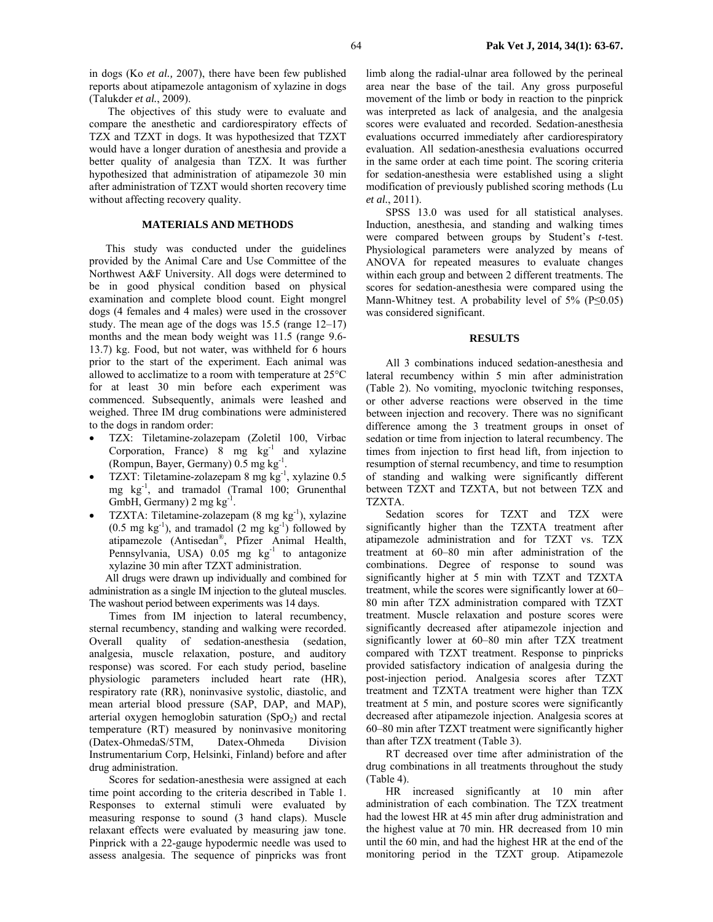in dogs (Ko *et al.,* 2007), there have been few published reports about atipamezole antagonism of xylazine in dogs (Talukder *et al.*, 2009).

The objectives of this study were to evaluate and compare the anesthetic and cardiorespiratory effects of TZX and TZXT in dogs. It was hypothesized that TZXT would have a longer duration of anesthesia and provide a better quality of analgesia than TZX. It was further hypothesized that administration of atipamezole 30 min after administration of TZXT would shorten recovery time without affecting recovery quality.

### **MATERIALS AND METHODS**

This study was conducted under the guidelines provided by the Animal Care and Use Committee of the Northwest A&F University. All dogs were determined to be in good physical condition based on physical examination and complete blood count. Eight mongrel dogs (4 females and 4 males) were used in the crossover study. The mean age of the dogs was 15.5 (range 12–17) months and the mean body weight was 11.5 (range 9.6- 13.7) kg. Food, but not water, was withheld for 6 hours prior to the start of the experiment. Each animal was allowed to acclimatize to a room with temperature at 25°C for at least 30 min before each experiment was commenced. Subsequently, animals were leashed and weighed. Three IM drug combinations were administered to the dogs in random order:

- TZX: Tiletamine-zolazepam (Zoletil 100, Virbac Corporation, France) 8 mg  $kg^{-1}$  and xylazine (Rompun, Bayer, Germany) 0.5 mg kg-1.
- TZXT: Tiletamine-zolazepam 8 mg kg-1, xylazine 0.5 mg kg<sup>-1</sup>, and tramadol (Tramal 100; Grunenthal GmbH, Germany)  $2 \text{ mg kg}^{-1}$ .
- TZXTA: Tiletamine-zolazepam  $(8 \text{ mg kg}^{-1})$ , xylazine  $(0.5 \text{ mg kg}^{-1})$ , and tramadol  $(2 \text{ mg kg}^{-1})$  followed by atipamezole (Antisedan®, Pfizer Animal Health, Pennsylvania, USA)  $0.05$  mg kg<sup>-1</sup> to antagonize xylazine 30 min after TZXT administration.

All drugs were drawn up individually and combined for administration as a single IM injection to the gluteal muscles. The washout period between experiments was 14 days.

Times from IM injection to lateral recumbency, sternal recumbency, standing and walking were recorded. Overall quality of sedation-anesthesia (sedation, analgesia, muscle relaxation, posture, and auditory response) was scored. For each study period, baseline physiologic parameters included heart rate (HR), respiratory rate (RR), noninvasive systolic, diastolic, and mean arterial blood pressure (SAP, DAP, and MAP), arterial oxygen hemoglobin saturation  $(SpO<sub>2</sub>)$  and rectal temperature (RT) measured by noninvasive monitoring (Datex-OhmedaS/5TM, Datex-Ohmeda Division Instrumentarium Corp, Helsinki, Finland) before and after drug administration.

Scores for sedation-anesthesia were assigned at each time point according to the criteria described in Table 1. Responses to external stimuli were evaluated by measuring response to sound (3 hand claps). Muscle relaxant effects were evaluated by measuring jaw tone. Pinprick with a 22-gauge hypodermic needle was used to assess analgesia. The sequence of pinpricks was front

limb along the radial-ulnar area followed by the perineal area near the base of the tail. Any gross purposeful movement of the limb or body in reaction to the pinprick was interpreted as lack of analgesia, and the analgesia scores were evaluated and recorded. Sedation-anesthesia evaluations occurred immediately after cardiorespiratory evaluation. All sedation-anesthesia evaluations occurred in the same order at each time point. The scoring criteria for sedation-anesthesia were established using a slight modification of previously published scoring methods (Lu *et al.*, 2011).

SPSS 13.0 was used for all statistical analyses. Induction, anesthesia, and standing and walking times were compared between groups by Student's *t*-test. Physiological parameters were analyzed by means of ANOVA for repeated measures to evaluate changes within each group and between 2 different treatments. The scores for sedation-anesthesia were compared using the Mann-Whitney test. A probability level of 5% ( $P \le 0.05$ ) was considered significant.

#### **RESULTS**

All 3 combinations induced sedation-anesthesia and lateral recumbency within 5 min after administration (Table 2). No vomiting, myoclonic twitching responses, or other adverse reactions were observed in the time between injection and recovery. There was no significant difference among the 3 treatment groups in onset of sedation or time from injection to lateral recumbency. The times from injection to first head lift, from injection to resumption of sternal recumbency, and time to resumption of standing and walking were significantly different between TZXT and TZXTA, but not between TZX and TZXTA.

Sedation scores for TZXT and TZX were significantly higher than the TZXTA treatment after atipamezole administration and for TZXT vs. TZX treatment at 60–80 min after administration of the combinations. Degree of response to sound was significantly higher at 5 min with TZXT and TZXTA treatment, while the scores were significantly lower at 60– 80 min after TZX administration compared with TZXT treatment. Muscle relaxation and posture scores were significantly decreased after atipamezole injection and significantly lower at 60–80 min after TZX treatment compared with TZXT treatment. Response to pinpricks provided satisfactory indication of analgesia during the post-injection period. Analgesia scores after TZXT treatment and TZXTA treatment were higher than TZX treatment at 5 min, and posture scores were significantly decreased after atipamezole injection. Analgesia scores at 60–80 min after TZXT treatment were significantly higher than after TZX treatment (Table 3).

RT decreased over time after administration of the drug combinations in all treatments throughout the study (Table 4).

HR increased significantly at 10 min after administration of each combination. The TZX treatment had the lowest HR at 45 min after drug administration and the highest value at 70 min. HR decreased from 10 min until the 60 min, and had the highest HR at the end of the monitoring period in the TZXT group. Atipamezole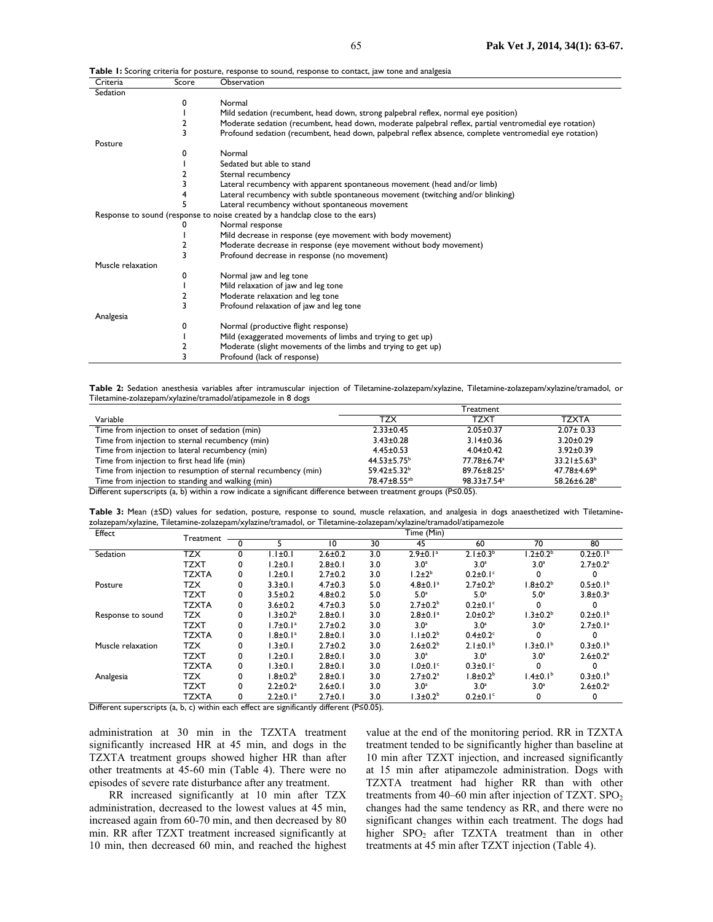| Criteria          | Score | Observation                                                                                            |
|-------------------|-------|--------------------------------------------------------------------------------------------------------|
| Sedation          |       |                                                                                                        |
|                   | 0     | Normal                                                                                                 |
|                   |       | Mild sedation (recumbent, head down, strong palpebral reflex, normal eye position)                     |
|                   | 2     | Moderate sedation (recumbent, head down, moderate palpebral reflex, partial ventromedial eye rotation) |
|                   | 3     | Profound sedation (recumbent, head down, palpebral reflex absence, complete ventromedial eye rotation) |
| Posture           |       |                                                                                                        |
|                   | 0     | Normal                                                                                                 |
|                   |       | Sedated but able to stand                                                                              |
|                   | 2     | Sternal recumbency                                                                                     |
|                   | 3     | Lateral recumbency with apparent spontaneous movement (head and/or limb)                               |
|                   | 4     | Lateral recumbency with subtle spontaneous movement (twitching and/or blinking)                        |
|                   |       | Lateral recumbency without spontaneous movement                                                        |
|                   |       | Response to sound (response to noise created by a handclap close to the ears)                          |
|                   |       | Normal response                                                                                        |
|                   |       | Mild decrease in response (eye movement with body movement)                                            |
|                   | 2     | Moderate decrease in response (eye movement without body movement)                                     |
|                   | 3     | Profound decrease in response (no movement)                                                            |
| Muscle relaxation |       |                                                                                                        |
|                   | 0     | Normal jaw and leg tone                                                                                |
|                   |       | Mild relaxation of jaw and leg tone                                                                    |
|                   | 2     | Moderate relaxation and leg tone                                                                       |
|                   | 3     | Profound relaxation of jaw and leg tone                                                                |
| Analgesia         |       |                                                                                                        |
|                   | 0     | Normal (productive flight response)                                                                    |
|                   |       | Mild (exaggerated movements of limbs and trying to get up)                                             |
|                   |       | Moderate (slight movements of the limbs and trying to get up)                                          |
|                   |       | Profound (lack of response)                                                                            |

**Table 1:** Scoring criteria for posture, response to sound, response to contact, jaw tone and analgesia

**Table 2:** Sedation anesthesia variables after intramuscular injection of Tiletamine-zolazepam/xylazine, Tiletamine-zolazepam/xylazine/tramadol, or Tiletamine-zolazepam/xylazine/tramadol/atipamezole in 8 dogs

|                                                               | Treatment                |                          |                         |  |  |
|---------------------------------------------------------------|--------------------------|--------------------------|-------------------------|--|--|
| Variable                                                      | TZX                      | TZXT                     | TZXTA                   |  |  |
| Time from injection to onset of sedation (min)                | $2.33 \pm 0.45$          | $2.05 \pm 0.37$          | $2.07 \pm 0.33$         |  |  |
| Time from injection to sternal recumbency (min)               | $3.43 \pm 0.28$          | $3.14 \pm 0.36$          | $3.20 \pm 0.29$         |  |  |
| Time from injection to lateral recumbency (min)               | $4.45 \pm 0.53$          | $4.04 \pm 0.42$          | $3.92 \pm 0.39$         |  |  |
| Time from injection to first head life (min)                  | $44.53 \pm 5.75^{\circ}$ | 77.78±6.74 <sup>a</sup>  | $33.21 \pm 5.63^b$      |  |  |
| Time from injection to resumption of sternal recumbency (min) | $59.42 \pm 5.32^b$       | $89.76 \pm 8.25^{\circ}$ | 47.78±4.69 <sup>b</sup> |  |  |
| Time from injection to standing and walking (min)             | 78.47±8.55 <sup>ab</sup> | 98.33±7.54 <sup>a</sup>  | $58.26 \pm 6.28$        |  |  |

Different superscripts (a, b) within a row indicate a significant difference between treatment groups (P≤0.05).

Table 3: Mean (±SD) values for sedation, posture, response to sound, muscle relaxation, and analgesia in dogs anaesthetized with Tiletaminezolazepam/xylazine, Tiletamine-zolazepam/xylazine/tramadol, or Tiletamine-zolazepam/xylazine/tramadol/atipamezole

| Effect            | Treatment    | Time (Min) |                            |               |     |                            |                            |                  |                            |  |
|-------------------|--------------|------------|----------------------------|---------------|-----|----------------------------|----------------------------|------------------|----------------------------|--|
|                   |              |            |                            | 10            | 30  | 45                         | 60                         | 70               | 80                         |  |
| Sedation          | <b>TZX</b>   | 0          | $1.1 \pm 0.1$              | $2.6 \pm 0.2$ | 3.0 | $2.9 \pm 0.1$ <sup>a</sup> | $2.1 \pm 0.3^{b}$          | $.2\pm0.2b$      | $0.2 \pm 0.1$ <sup>b</sup> |  |
|                   | <b>TZXT</b>  | 0          | $1.2 \pm 0.1$              | $2.8 + 0.1$   | 3.0 | 3.0 <sup>a</sup>           | 3.0 <sup>a</sup>           | 3.0 <sup>a</sup> | $2.7 \pm 0.2$ <sup>a</sup> |  |
|                   | <b>TZXTA</b> |            | $1.2 \pm 0.1$              | $2.7 \pm 0.2$ | 3.0 | $1.2 \pm 2b$               | $0.2\pm0.1$ <sup>c</sup>   |                  |                            |  |
| Posture           | <b>TZX</b>   | 0          | $3.3 \pm 0.1$              | $4.7 \pm 0.3$ | 5.0 | $4.8 \pm 0.1$ <sup>a</sup> | $2.7 \pm 0.2^b$            | $1.8 \pm 0.2b$   | $0.5 \pm 0.1$ <sup>b</sup> |  |
|                   | <b>TZXT</b>  | 0          | $3.5 \pm 0.2$              | $4.8 \pm 0.2$ | 5.0 | 5.0 <sup>a</sup>           | 5.0 <sup>a</sup>           | 5.0 <sup>a</sup> | $3.8 \pm 0.3^a$            |  |
|                   | <b>TZXTA</b> | 0          | $3.6 \pm 0.2$              | $4.7 \pm 0.3$ | 5.0 | $2.7 \pm 0.2^b$            | $0.2 \pm 0.1$ <sup>c</sup> |                  |                            |  |
| Response to sound | <b>TZX</b>   | 0          | $1.3 \pm 0.2^b$            | $2.8 + 0.1$   | 3.0 | $2.8 \pm 0.1$ <sup>a</sup> | $2.0 \pm 0.2^b$            | $1.3 \pm 0.2^b$  | $0.2 \pm 0.1$ <sup>b</sup> |  |
|                   | <b>TZXT</b>  |            | $1.7 \pm 0.1^a$            | $2.7 \pm 0.2$ | 3.0 | 3.0 <sup>a</sup>           | 3.0 <sup>a</sup>           | 3.0 <sup>a</sup> | $2.7 \pm 0.1$ <sup>a</sup> |  |
|                   | <b>TZXTA</b> | 0          | $1.8 \pm 0.1^a$            | $2.8 + 0.1$   | 3.0 | $1.1 \pm 0.2b$             | $0.4 \pm 0.2$ <sup>c</sup> |                  |                            |  |
| Muscle relaxation | <b>TZX</b>   | 0          | $1.3 \pm 0.1$              | $2.7 \pm 0.2$ | 3.0 | $2.6 \pm 0.2^b$            | $2.1 \pm 0.1^b$            | $1.3 \pm 0.1b$   | $0.3 \pm 0.1$ <sup>b</sup> |  |
|                   | <b>TZXT</b>  | 0          | $1.2 \pm 0.1$              | $2.8 + 0.1$   | 3.0 | 3.0 <sup>a</sup>           | 3.0 <sup>a</sup>           | 3.0 <sup>a</sup> | $2.6 \pm 0.2$ <sup>a</sup> |  |
|                   | <b>TZXTA</b> | 0          | $1.3 \pm 0.1$              | $2.8 + 0.1$   | 3.0 | $1.0 \pm 0.1$ <sup>c</sup> | $0.3 \pm 0.1$ <sup>c</sup> | O                |                            |  |
| Analgesia         | <b>TZX</b>   | 0          | $1.8{\pm}0.2^b$            | $2.8 + 0.1$   | 3.0 | $2.7 \pm 0.2$ <sup>a</sup> | $.8{\pm}0.2^{\circ}$       | $1.4\pm0.1b$     | $0.3 \pm 0.1$ <sup>b</sup> |  |
|                   | <b>TZXT</b>  |            | $2.2 \pm 0.2$ <sup>a</sup> | $2.6 + 0.1$   | 3.0 | 3.0 <sup>a</sup>           | 3.0 <sup>a</sup>           | 3.0 <sup>a</sup> | $2.6 \pm 0.2$ <sup>a</sup> |  |
|                   | <b>TZXTA</b> | 0          | $2.2 \pm 0.1^a$            | $2.7 \pm 0.1$ | 3.0 | $1.3 \pm 0.2^b$            | $0.2\pm0.1$ °              | 0                |                            |  |

Different superscripts (a, b, c) within each effect are significantly different (P≤0.05).

administration at 30 min in the TZXTA treatment significantly increased HR at 45 min, and dogs in the TZXTA treatment groups showed higher HR than after other treatments at 45-60 min (Table 4). There were no episodes of severe rate disturbance after any treatment.

RR increased significantly at 10 min after TZX administration, decreased to the lowest values at 45 min, increased again from 60-70 min, and then decreased by 80 min. RR after TZXT treatment increased significantly at 10 min, then decreased 60 min, and reached the highest

value at the end of the monitoring period. RR in TZXTA treatment tended to be significantly higher than baseline at 10 min after TZXT injection, and increased significantly at 15 min after atipamezole administration. Dogs with TZXTA treatment had higher RR than with other treatments from  $40-60$  min after injection of TZXT. SPO<sub>2</sub> changes had the same tendency as RR, and there were no significant changes within each treatment. The dogs had higher SPO<sub>2</sub> after TZXTA treatment than in other treatments at 45 min after TZXT injection (Table 4).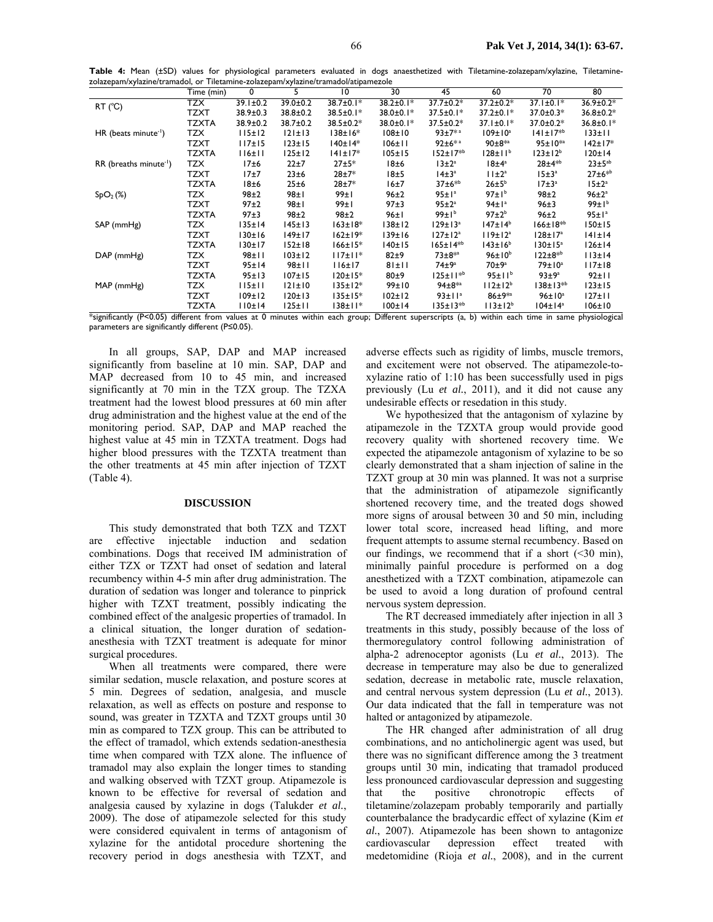**Table 4:** Mean (±SD) values for physiological parameters evaluated in dogs anaesthetized with Tiletamine-zolazepam/xylazine, Tiletaminezolazepam/xylazine/tramadol, or Tiletamine-zolazepam/xylazine/tramadol/atipamezole

|                                      | Time (min)   | 0              | 5              | $\overline{10}$ | 30              | 45                       | 60                  | 70                   | 80                |
|--------------------------------------|--------------|----------------|----------------|-----------------|-----------------|--------------------------|---------------------|----------------------|-------------------|
| $RT$ ( $°C$ )                        | TZX          | $39.1 \pm 0.2$ | $39.0 \pm 0.2$ | $38.7 \pm 0.1*$ | $38.2 \pm 0.1*$ | 37.7±0.2*                | $37.2 \pm 0.2*$     | $37.1 \pm 0.1*$      | $36.9 \pm 0.2*$   |
|                                      | TZXT         | 38.9±0.3       | 38.8±0.2       | $38.5 \pm 0.1*$ | 38.0±0.1*       | $37.5 \pm 0.1*$          | $37.2 \pm 0.1*$     | $37.0 \pm 0.3*$      | $36.8 \pm 0.2*$   |
|                                      | <b>TZXTA</b> | 38.9±0.2       | 38.7±0.2       | $38.5 \pm 0.2*$ | 38.0±0.1*       | $37.5 \pm 0.2*$          | $37.1 \pm 0.1*$     | $37.0 \pm 0.2*$      | $36.8 \pm 0.1*$   |
| $HR$ (beats minute <sup>-1</sup> )   | <b>TZX</b>   | 115±12         | 121±13         | 138±16*         | $108 \pm 10$    | $93+7**$                 | $109 \pm 10^a$      | $141 \pm 17^{*b}$    | $133 \pm 11$      |
|                                      | TZXT         | 117±15         | $123 \pm 15$   | $140±14*$       | 106±11          | $92 \pm 6*$ <sup>3</sup> | $90 \pm 8^{*a}$     | $95 \pm 10^{*a}$     | 142±17*           |
|                                      | <b>TZXTA</b> | 116±11         | $125 \pm 12$   | $141 \pm 17*$   | $105 \pm 15$    | $152 \pm 17^{*b}$        | $128 \pm 11^{b}$    | $123 \pm 12^{b}$     | 120±14            |
| $RR$ (breaths minute <sup>-1</sup> ) | <b>TZX</b>   | 17±6           | 22±7           | 27±5*           | 18±6            | $13 \pm 2^a$             | $18±4^a$            | $28 + 4^{*b}$        | $23 \pm 5^{ab}$   |
|                                      | <b>TZXT</b>  | 17±7           | 23±6           | $28 + 7*$       | 18±5            | $14\pm3^a$               | $11 \pm 2^a$        | 15±3 <sup>a</sup>    | $27 \pm 6^{*b}$   |
|                                      | TZXTA        | 18±6           | 25±6           | 28±7*           | 16±7            | $37±6*^{b}$              | $26 \pm 5^b$        | 17±3 <sup>a</sup>    | $15 \pm 2^a$      |
| SpO <sub>2</sub> (%)                 | TZX          | 98±2           | 98±1           | 99±1            | $96\pm2$        | 95±1a                    | 97±1 <sup>b</sup>   | 98±2                 | $96 \pm 2^a$      |
|                                      | TZXT         | 97±2           | 98±1           | 99±1            | 97±3            | $95 \pm 2^a$             | 94±1a               | $96+3$               | 99±1 <sup>b</sup> |
|                                      | <b>TZXTA</b> | 97±3           | 98±2           | 98±2            | 96±1            | $99 \pm 1^{b}$           | $97\pm2^b$          | $96\pm2$             | 95±1 <sup>a</sup> |
| SAP (mmHg)                           | TZX          | $135 \pm 14$   | 145±13         | $163 \pm 18*$   | $138 \pm 12$    | $129 \pm 13^a$           | $147 \pm 14^b$      | $166 \pm 18^{*b}$    | 150±15            |
|                                      | TZXT         | 130±16         | 149±17         | $162 \pm 19*$   | 139±16          | $127 \pm 12^{a}$         | 119±12 <sup>a</sup> | $128 \pm 17^{\circ}$ | $141 \pm 14$      |
|                                      | <b>TZXTA</b> | 130±17         | $152 \pm 18$   | $166 \pm 15*$   | 140±15          | $165 \pm 14^{*b}$        | $143 \pm 16^{6}$    | $130 \pm 15^{\circ}$ | 126±14            |
| $DAP$ (mm $Hg$ )                     | TZX          | $98 + 11$      | $103 \pm 12$   | $117 \pm 11$ *  | $82+9$          | $73 + 8^{*a}$            | $96\pm10^{b}$       | $122 \pm 8^{*b}$     | 113±14            |
|                                      | TZXT         | 95±14          | $98 + 11$      | 116±17          | 81±11           | $74\pm9^a$               | $70\pm9^{\circ}$    | $79\pm10^a$          | II7±18            |
|                                      | <b>TZXTA</b> | 95±13          | $107 \pm 15$   | $120±15*$       | 80±9            | 125±11 <sup>*b</sup>     | 95±11 <sup>b</sup>  | 93±9a                | 92±11             |
| MAP (mmHg)                           | <b>TZX</b>   | 115±11         | 121±10         | $135 \pm 12*$   | 99±10           | $94 \pm 8^{*a}$          | $112 \pm 12^{b}$    | $138 \pm 13^{*b}$    | $123 \pm 15$      |
|                                      | TZXT         | $109 \pm 12$   | 120±13         | $135 \pm 15*$   | $102 \pm 12$    | 93±11 <sup>a</sup>       | $86 + 9^{*a}$       | $96\pm10^a$          | $127 \pm 11$      |
|                                      | TZXTA        | 110±14         | $125 \pm 11$   | 138±11*         | 100±14          | $135 \pm 13^{*b}$        | $113 \pm 12^{b}$    | $104 \pm 14^a$       | $106 \pm 10$      |

\*significantly (P<0.05) different from values at 0 minutes within each group; Different superscripts (a, b) within each time in same physiological parameters are significantly different (P≤0.05).

In all groups, SAP, DAP and MAP increased significantly from baseline at 10 min. SAP, DAP and MAP decreased from 10 to 45 min, and increased significantly at 70 min in the TZX group. The TZXA treatment had the lowest blood pressures at 60 min after drug administration and the highest value at the end of the monitoring period. SAP, DAP and MAP reached the highest value at 45 min in TZXTA treatment. Dogs had higher blood pressures with the TZXTA treatment than the other treatments at 45 min after injection of TZXT (Table 4).

#### **DISCUSSION**

This study demonstrated that both TZX and TZXT are effective injectable induction and sedation combinations. Dogs that received IM administration of either TZX or TZXT had onset of sedation and lateral recumbency within 4-5 min after drug administration. The duration of sedation was longer and tolerance to pinprick higher with TZXT treatment, possibly indicating the combined effect of the analgesic properties of tramadol. In a clinical situation, the longer duration of sedationanesthesia with TZXT treatment is adequate for minor surgical procedures.

When all treatments were compared, there were similar sedation, muscle relaxation, and posture scores at 5 min. Degrees of sedation, analgesia, and muscle relaxation, as well as effects on posture and response to sound, was greater in TZXTA and TZXT groups until 30 min as compared to TZX group. This can be attributed to the effect of tramadol, which extends sedation-anesthesia time when compared with TZX alone. The influence of tramadol may also explain the longer times to standing and walking observed with TZXT group. Atipamezole is known to be effective for reversal of sedation and analgesia caused by xylazine in dogs (Talukder *et al.*, 2009). The dose of atipamezole selected for this study were considered equivalent in terms of antagonism of xylazine for the antidotal procedure shortening the recovery period in dogs anesthesia with TZXT, and

adverse effects such as rigidity of limbs, muscle tremors, and excitement were not observed. The atipamezole-toxylazine ratio of 1:10 has been successfully used in pigs previously (Lu *et al.*, 2011), and it did not cause any undesirable effects or resedation in this study.

We hypothesized that the antagonism of xylazine by atipamezole in the TZXTA group would provide good recovery quality with shortened recovery time. We expected the atipamezole antagonism of xylazine to be so clearly demonstrated that a sham injection of saline in the TZXT group at 30 min was planned. It was not a surprise that the administration of atipamezole significantly shortened recovery time, and the treated dogs showed more signs of arousal between 30 and 50 min, including lower total score, increased head lifting, and more frequent attempts to assume sternal recumbency. Based on our findings, we recommend that if a short  $(\leq 30 \text{ min})$ , minimally painful procedure is performed on a dog anesthetized with a TZXT combination, atipamezole can be used to avoid a long duration of profound central nervous system depression.

The RT decreased immediately after injection in all 3 treatments in this study, possibly because of the loss of thermoregulatory control following administration of alpha-2 adrenoceptor agonists (Lu *et al.*, 2013). The decrease in temperature may also be due to generalized sedation, decrease in metabolic rate, muscle relaxation, and central nervous system depression (Lu *et al.*, 2013). Our data indicated that the fall in temperature was not halted or antagonized by atipamezole.

The HR changed after administration of all drug combinations, and no anticholinergic agent was used, but there was no significant difference among the 3 treatment groups until 30 min, indicating that tramadol produced less pronounced cardiovascular depression and suggesting that the positive chronotropic effects of tiletamine/zolazepam probably temporarily and partially counterbalance the bradycardic effect of xylazine (Kim *et al.*, 2007). Atipamezole has been shown to antagonize cardiovascular depression effect treated with medetomidine (Rioja *et al.*, 2008), and in the current